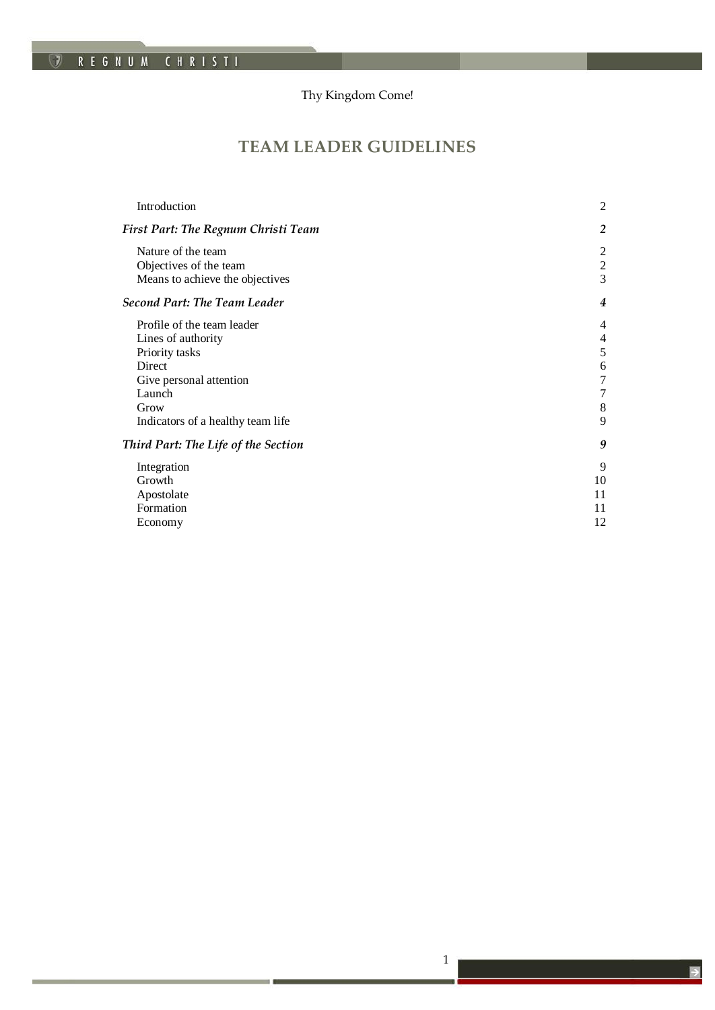# Thy Kingdom Come!

*TKC!*

# **TEAM LEADER GUIDELINES**

| Introduction                               | 2                       |
|--------------------------------------------|-------------------------|
| <b>First Part: The Regnum Christi Team</b> | $\overline{2}$          |
| Nature of the team                         | 2                       |
| Objectives of the team                     | $\overline{\mathbf{c}}$ |
| Means to achieve the objectives            | 3                       |
| <b>Second Part: The Team Leader</b>        | $\boldsymbol{4}$        |
| Profile of the team leader                 | $\overline{4}$          |
| Lines of authority                         | $\overline{4}$          |
| Priority tasks                             | 5                       |
| Direct                                     | 6                       |
| Give personal attention                    | 7                       |
| Launch                                     | $\tau$                  |
| Grow                                       | 8                       |
| Indicators of a healthy team life          | 9                       |
| Third Part: The Life of the Section        | 9                       |
| Integration                                | 9                       |
| Growth                                     | 10                      |
| Apostolate                                 | 11                      |
| Formation                                  | 11                      |
| Economy                                    | 12                      |
|                                            |                         |

1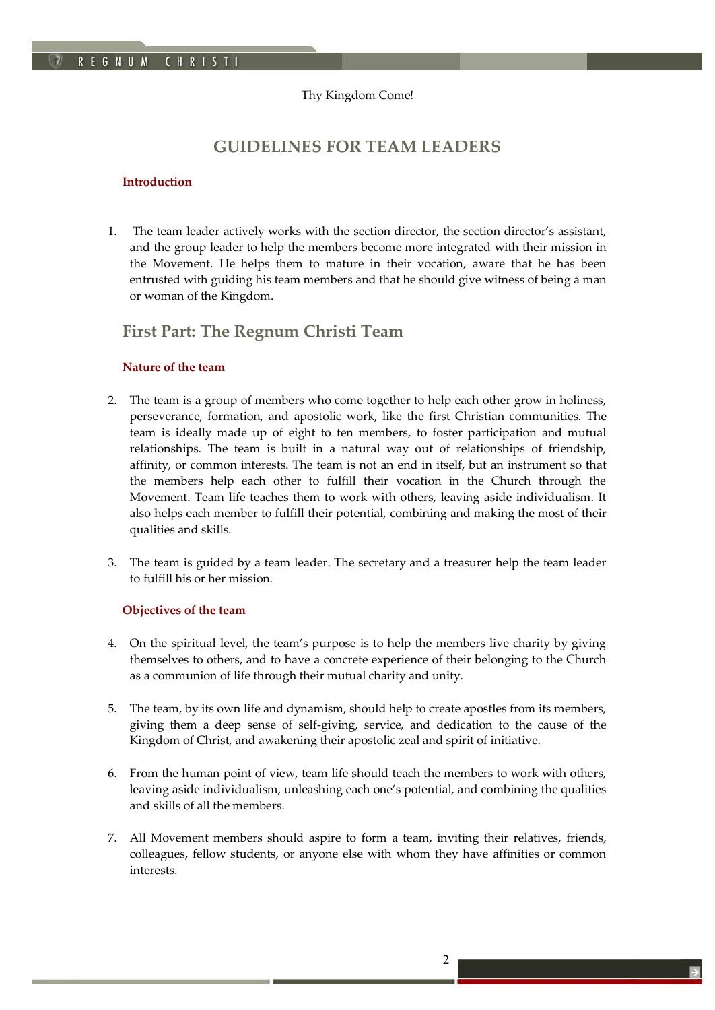# Thy Kingdom Come!

*TKC!*

# **GUIDELINES FOR TEAM LEADERS**

# <span id="page-1-0"></span>**Introduction**

1. The team leader actively works with the section director, the section director's assistant, and the group leader to help the members become more integrated with their mission in the Movement. He helps them to mature in their vocation, aware that he has been entrusted with guiding his team members and that he should give witness of being a man or woman of the Kingdom.

# <span id="page-1-1"></span>**First Part: The Regnum Christi Team**

# <span id="page-1-2"></span>**Nature of the team**

- 2. The team is a group of members who come together to help each other grow in holiness, perseverance, formation, and apostolic work, like the first Christian communities. The team is ideally made up of eight to ten members, to foster participation and mutual relationships. The team is built in a natural way out of relationships of friendship, affinity, or common interests. The team is not an end in itself, but an instrument so that the members help each other to fulfill their vocation in the Church through the Movement. Team life teaches them to work with others, leaving aside individualism. It also helps each member to fulfill their potential, combining and making the most of their qualities and skills.
- 3. The team is guided by a team leader. The secretary and a treasurer help the team leader to fulfill his or her mission.

# <span id="page-1-3"></span>**Objectives of the team**

- 4. On the spiritual level, the team's purpose is to help the members live charity by giving themselves to others, and to have a concrete experience of their belonging to the Church as a communion of life through their mutual charity and unity.
- 5. The team, by its own life and dynamism, should help to create apostles from its members, giving them a deep sense of self-giving, service, and dedication to the cause of the Kingdom of Christ, and awakening their apostolic zeal and spirit of initiative.
- 6. From the human point of view, team life should teach the members to work with others, leaving aside individualism, unleashing each one's potential, and combining the qualities and skills of all the members.
- 7. All Movement members should aspire to form a team, inviting their relatives, friends, colleagues, fellow students, or anyone else with whom they have affinities or common interests.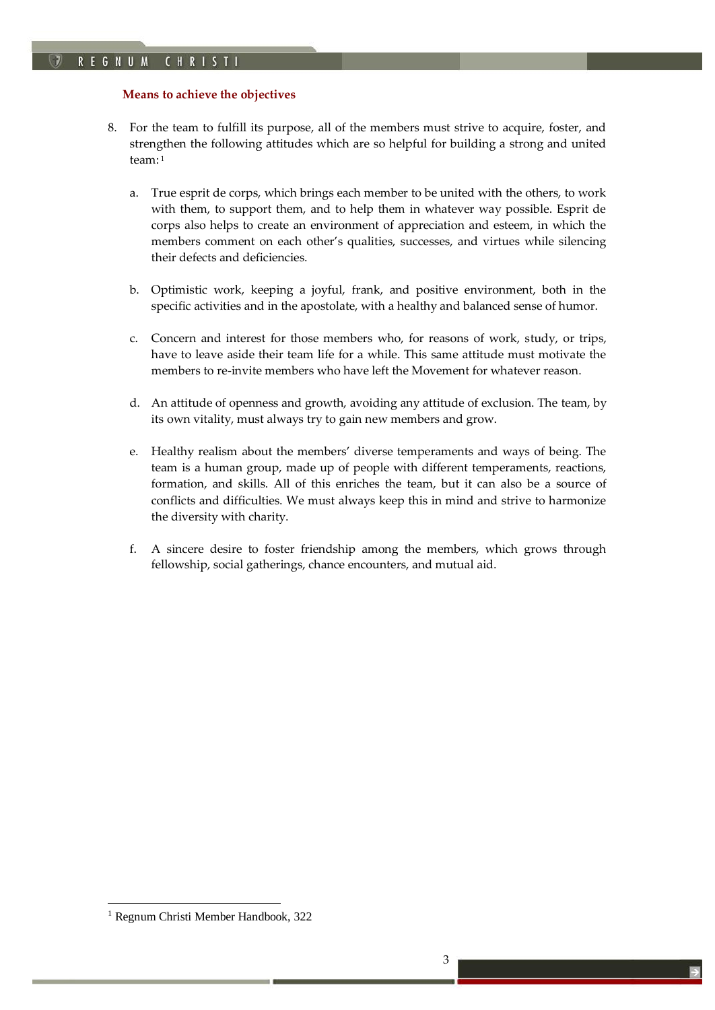# <span id="page-2-0"></span>**Means to achieve the objectives**

8. For the team to fulfill its purpose, all of the members must strive to acquire, foster, and strengthen the following attitudes which are so helpful for building a strong and united team: <sup>1</sup>

*TKC!*

- a. True esprit de corps, which brings each member to be united with the others, to work with them, to support them, and to help them in whatever way possible. Esprit de corps also helps to create an environment of appreciation and esteem, in which the members comment on each other's qualities, successes, and virtues while silencing their defects and deficiencies.
- b. Optimistic work, keeping a joyful, frank, and positive environment, both in the specific activities and in the apostolate, with a healthy and balanced sense of humor.
- c. Concern and interest for those members who, for reasons of work, study, or trips, have to leave aside their team life for a while. This same attitude must motivate the members to re-invite members who have left the Movement for whatever reason.
- d. An attitude of openness and growth, avoiding any attitude of exclusion. The team, by its own vitality, must always try to gain new members and grow.
- e. Healthy realism about the members' diverse temperaments and ways of being. The team is a human group, made up of people with different temperaments, reactions, formation, and skills. All of this enriches the team, but it can also be a source of conflicts and difficulties. We must always keep this in mind and strive to harmonize the diversity with charity.
- f. A sincere desire to foster friendship among the members, which grows through fellowship, social gatherings, chance encounters, and mutual aid.

<sup>&</sup>lt;sup>1</sup> Regnum Christi Member Handbook, 322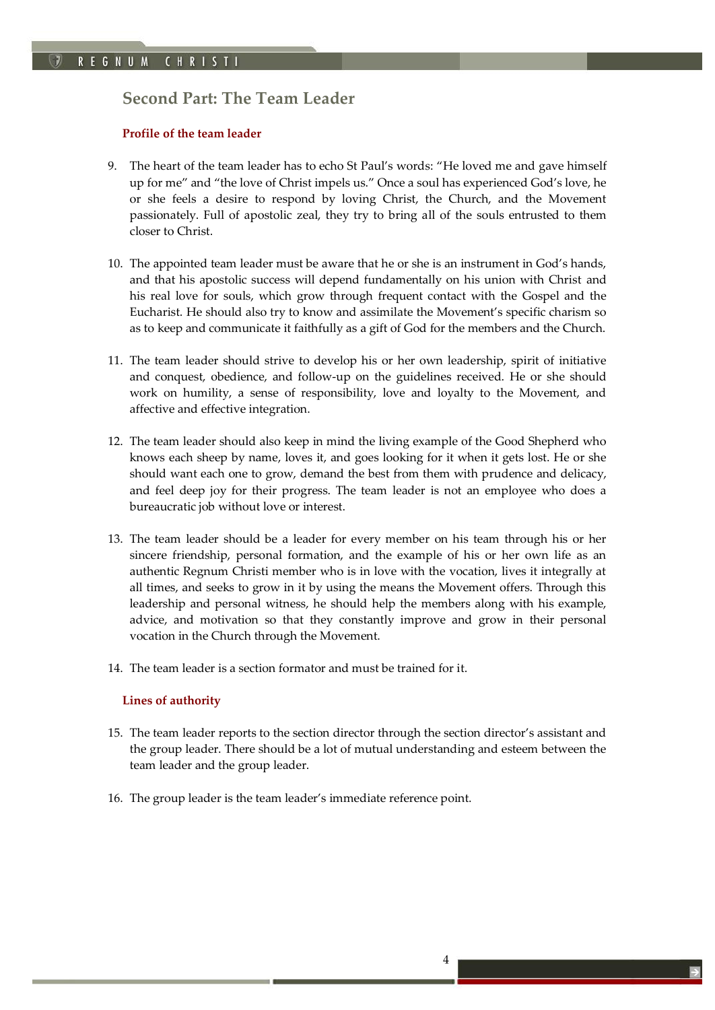# <span id="page-3-0"></span>**Second Part: The Team Leader**

# <span id="page-3-1"></span>**Profile of the team leader**

9. The heart of the team leader has to echo St Paul's words: "He loved me and gave himself up for me" and "the love of Christ impels us." Once a soul has experienced God's love, he or she feels a desire to respond by loving Christ, the Church, and the Movement passionately. Full of apostolic zeal, they try to bring all of the souls entrusted to them closer to Christ.

*TKC!*

- 10. The appointed team leader must be aware that he or she is an instrument in God's hands, and that his apostolic success will depend fundamentally on his union with Christ and his real love for souls, which grow through frequent contact with the Gospel and the Eucharist. He should also try to know and assimilate the Movement's specific charism so as to keep and communicate it faithfully as a gift of God for the members and the Church.
- 11. The team leader should strive to develop his or her own leadership, spirit of initiative and conquest, obedience, and follow-up on the guidelines received. He or she should work on humility, a sense of responsibility, love and loyalty to the Movement, and affective and effective integration.
- 12. The team leader should also keep in mind the living example of the Good Shepherd who knows each sheep by name, loves it, and goes looking for it when it gets lost. He or she should want each one to grow, demand the best from them with prudence and delicacy, and feel deep joy for their progress. The team leader is not an employee who does a bureaucratic job without love or interest.
- 13. The team leader should be a leader for every member on his team through his or her sincere friendship, personal formation, and the example of his or her own life as an authentic Regnum Christi member who is in love with the vocation, lives it integrally at all times, and seeks to grow in it by using the means the Movement offers. Through this leadership and personal witness, he should help the members along with his example, advice, and motivation so that they constantly improve and grow in their personal vocation in the Church through the Movement.
- 14. The team leader is a section formator and must be trained for it.

# <span id="page-3-2"></span>**Lines of authority**

- 15. The team leader reports to the section director through the section director's assistant and the group leader. There should be a lot of mutual understanding and esteem between the team leader and the group leader.
- 16. The group leader is the team leader's immediate reference point.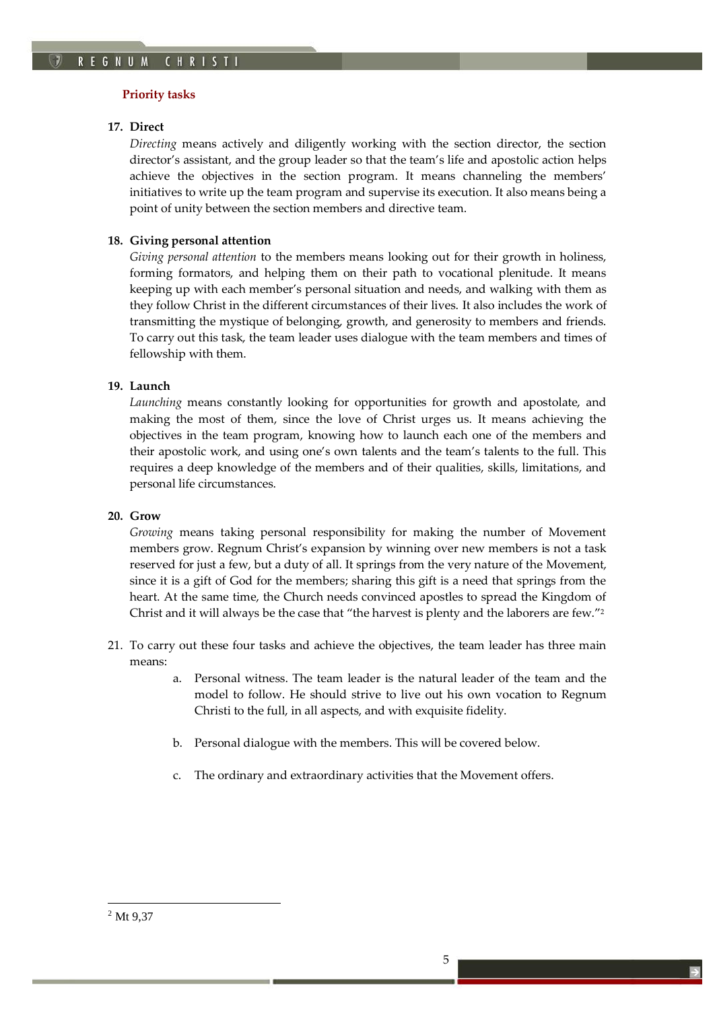# <span id="page-4-0"></span>**Priority tasks**

### **17. Direct**

*Directing* means actively and diligently working with the section director, the section director's assistant, and the group leader so that the team's life and apostolic action helps achieve the objectives in the section program. It means channeling the members' initiatives to write up the team program and supervise its execution. It also means being a point of unity between the section members and directive team.

*TKC!*

## **18. Giving personal attention**

*Giving personal attention* to the members means looking out for their growth in holiness, forming formators, and helping them on their path to vocational plenitude. It means keeping up with each member's personal situation and needs, and walking with them as they follow Christ in the different circumstances of their lives. It also includes the work of transmitting the mystique of belonging, growth, and generosity to members and friends. To carry out this task, the team leader uses dialogue with the team members and times of fellowship with them.

# **19. Launch**

*Launching* means constantly looking for opportunities for growth and apostolate, and making the most of them, since the love of Christ urges us. It means achieving the objectives in the team program, knowing how to launch each one of the members and their apostolic work, and using one's own talents and the team's talents to the full. This requires a deep knowledge of the members and of their qualities, skills, limitations, and personal life circumstances.

### **20. Grow**

*Growing* means taking personal responsibility for making the number of Movement members grow. Regnum Christ's expansion by winning over new members is not a task reserved for just a few, but a duty of all. It springs from the very nature of the Movement, since it is a gift of God for the members; sharing this gift is a need that springs from the heart. At the same time, the Church needs convinced apostles to spread the Kingdom of Christ and it will always be the case that "the harvest is plenty and the laborers are few."<sup>2</sup>

- 21. To carry out these four tasks and achieve the objectives, the team leader has three main means:
	- a. Personal witness. The team leader is the natural leader of the team and the model to follow. He should strive to live out his own vocation to Regnum Christi to the full, in all aspects, and with exquisite fidelity.
	- b. Personal dialogue with the members. This will be covered below.
	- c. The ordinary and extraordinary activities that the Movement offers.

<sup>2</sup> Mt 9,37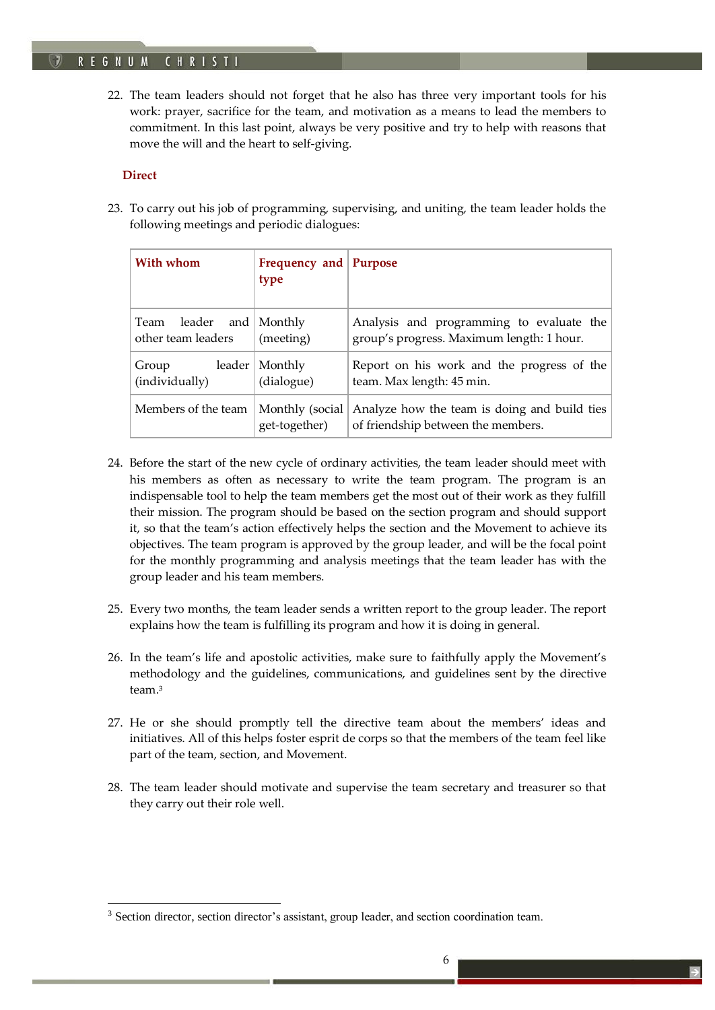#### **REGNUM** CHRIST

22. The team leaders should not forget that he also has three very important tools for his work: prayer, sacrifice for the team, and motivation as a means to lead the members to commitment. In this last point, always be very positive and try to help with reasons that move the will and the heart to self-giving.

*TKC!*

# <span id="page-5-0"></span>**Direct**

<u>.</u>

23. To carry out his job of programming, supervising, and uniting, the team leader holds the following meetings and periodic dialogues:

| With whom                                     | Frequency and Purpose<br>type    |                                                                                       |
|-----------------------------------------------|----------------------------------|---------------------------------------------------------------------------------------|
| Team leader and Monthly<br>other team leaders | (meeting)                        | Analysis and programming to evaluate the<br>group's progress. Maximum length: 1 hour. |
| leader  <br>Group<br>(individually)           | Monthly<br>(dialogue)            | Report on his work and the progress of the<br>team. Max length: 45 min.               |
| Members of the team                           | Monthly (social<br>get-together) | Analyze how the team is doing and build ties<br>of friendship between the members.    |

- 24. Before the start of the new cycle of ordinary activities, the team leader should meet with his members as often as necessary to write the team program. The program is an indispensable tool to help the team members get the most out of their work as they fulfill their mission. The program should be based on the section program and should support it, so that the team's action effectively helps the section and the Movement to achieve its objectives. The team program is approved by the group leader, and will be the focal point for the monthly programming and analysis meetings that the team leader has with the group leader and his team members.
- 25. Every two months, the team leader sends a written report to the group leader. The report explains how the team is fulfilling its program and how it is doing in general.
- 26. In the team's life and apostolic activities, make sure to faithfully apply the Movement's methodology and the guidelines, communications, and guidelines sent by the directive team.<sup>3</sup>
- 27. He or she should promptly tell the directive team about the members' ideas and initiatives. All of this helps foster esprit de corps so that the members of the team feel like part of the team, section, and Movement.
- 28. The team leader should motivate and supervise the team secretary and treasurer so that they carry out their role well.

<sup>&</sup>lt;sup>3</sup> Section director, section director's assistant, group leader, and section coordination team.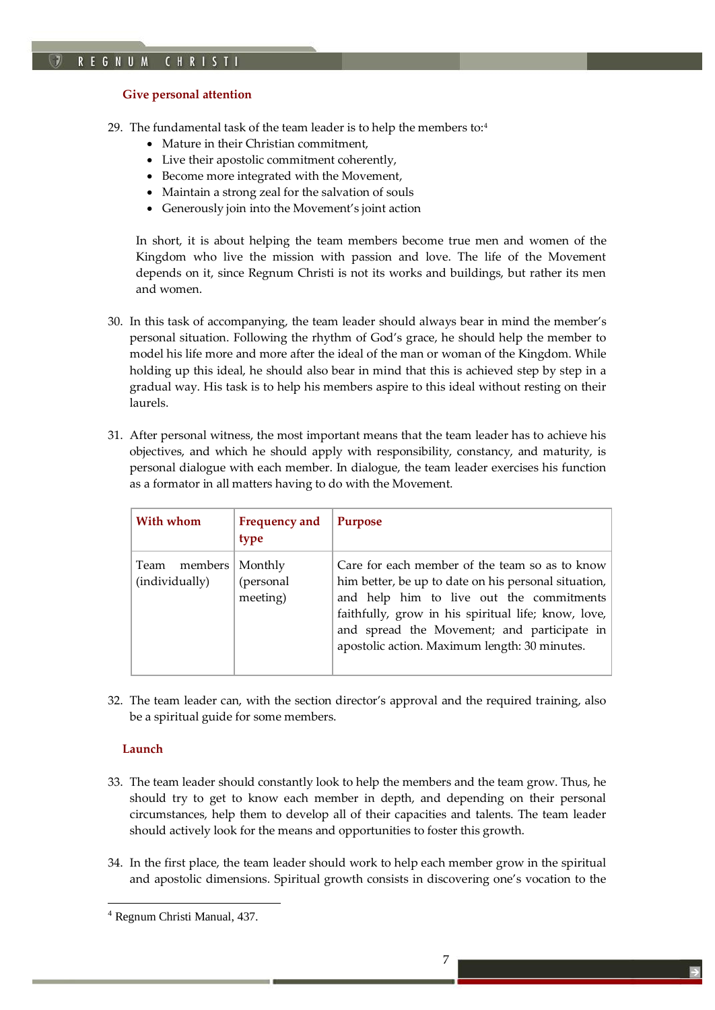# <span id="page-6-0"></span>**Give personal attention**

- 29. The fundamental task of the team leader is to help the members to:<sup>4</sup>
	- Mature in their Christian commitment,
	- Live their apostolic commitment coherently,
	- Become more integrated with the Movement,
	- Maintain a strong zeal for the salvation of souls
	- Generously join into the Movement's joint action

In short, it is about helping the team members become true men and women of the Kingdom who live the mission with passion and love. The life of the Movement depends on it, since Regnum Christi is not its works and buildings, but rather its men and women.

*TKC!*

- 30. In this task of accompanying, the team leader should always bear in mind the member's personal situation. Following the rhythm of God's grace, he should help the member to model his life more and more after the ideal of the man or woman of the Kingdom. While holding up this ideal, he should also bear in mind that this is achieved step by step in a gradual way. His task is to help his members aspire to this ideal without resting on their laurels.
- 31. After personal witness, the most important means that the team leader has to achieve his objectives, and which he should apply with responsibility, constancy, and maturity, is personal dialogue with each member. In dialogue, the team leader exercises his function as a formator in all matters having to do with the Movement.

| With whom                         | <b>Frequency and</b><br>type     | <b>Purpose</b>                                                                                                                                                                                                                                                                                            |
|-----------------------------------|----------------------------------|-----------------------------------------------------------------------------------------------------------------------------------------------------------------------------------------------------------------------------------------------------------------------------------------------------------|
| members<br>Team<br>(individually) | Monthly<br>(personal<br>meeting) | Care for each member of the team so as to know<br>him better, be up to date on his personal situation,<br>and help him to live out the commitments<br>faithfully, grow in his spiritual life; know, love,<br>and spread the Movement; and participate in<br>apostolic action. Maximum length: 30 minutes. |

32. The team leader can, with the section director's approval and the required training, also be a spiritual guide for some members.

# <span id="page-6-1"></span>**Launch**

- 33. The team leader should constantly look to help the members and the team grow. Thus, he should try to get to know each member in depth, and depending on their personal circumstances, help them to develop all of their capacities and talents. The team leader should actively look for the means and opportunities to foster this growth.
- 34. In the first place, the team leader should work to help each member grow in the spiritual and apostolic dimensions. Spiritual growth consists in discovering one's vocation to the

<sup>4</sup> Regnum Christi Manual, 437.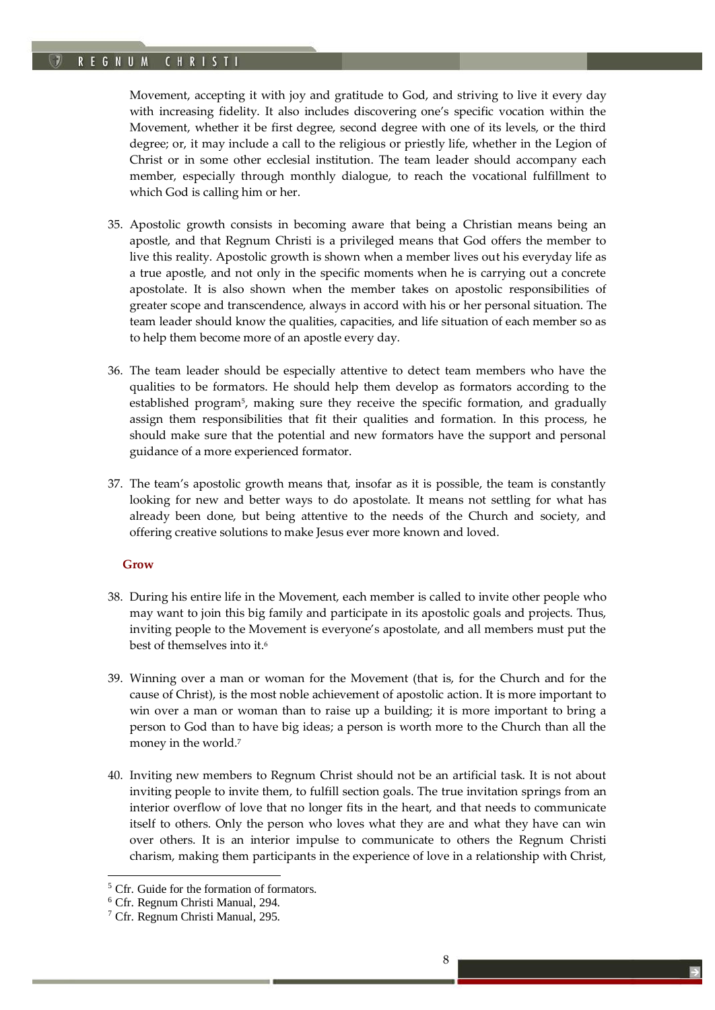# REGNUM CHRISTI

Movement, accepting it with joy and gratitude to God, and striving to live it every day with increasing fidelity. It also includes discovering one's specific vocation within the Movement, whether it be first degree, second degree with one of its levels, or the third degree; or, it may include a call to the religious or priestly life, whether in the Legion of Christ or in some other ecclesial institution. The team leader should accompany each member, especially through monthly dialogue, to reach the vocational fulfillment to which God is calling him or her.

*TKC!*

- 35. Apostolic growth consists in becoming aware that being a Christian means being an apostle, and that Regnum Christi is a privileged means that God offers the member to live this reality. Apostolic growth is shown when a member lives out his everyday life as a true apostle, and not only in the specific moments when he is carrying out a concrete apostolate. It is also shown when the member takes on apostolic responsibilities of greater scope and transcendence, always in accord with his or her personal situation. The team leader should know the qualities, capacities, and life situation of each member so as to help them become more of an apostle every day.
- 36. The team leader should be especially attentive to detect team members who have the qualities to be formators. He should help them develop as formators according to the established program<sup>5</sup> , making sure they receive the specific formation, and gradually assign them responsibilities that fit their qualities and formation. In this process, he should make sure that the potential and new formators have the support and personal guidance of a more experienced formator.
- 37. The team's apostolic growth means that, insofar as it is possible, the team is constantly looking for new and better ways to do apostolate. It means not settling for what has already been done, but being attentive to the needs of the Church and society, and offering creative solutions to make Jesus ever more known and loved.

### <span id="page-7-0"></span>**Grow**

- 38. During his entire life in the Movement, each member is called to invite other people who may want to join this big family and participate in its apostolic goals and projects. Thus, inviting people to the Movement is everyone's apostolate, and all members must put the best of themselves into it.<sup>6</sup>
- 39. Winning over a man or woman for the Movement (that is, for the Church and for the cause of Christ), is the most noble achievement of apostolic action. It is more important to win over a man or woman than to raise up a building; it is more important to bring a person to God than to have big ideas; a person is worth more to the Church than all the money in the world.<sup>7</sup>
- 40. Inviting new members to Regnum Christ should not be an artificial task. It is not about inviting people to invite them, to fulfill section goals. The true invitation springs from an interior overflow of love that no longer fits in the heart, and that needs to communicate itself to others. Only the person who loves what they are and what they have can win over others. It is an interior impulse to communicate to others the Regnum Christi charism, making them participants in the experience of love in a relationship with Christ,

<sup>&</sup>lt;sup>5</sup> Cfr. Guide for the formation of formators.

<sup>6</sup> Cfr. Regnum Christi Manual, 294.

<sup>7</sup> Cfr. Regnum Christi Manual, 295.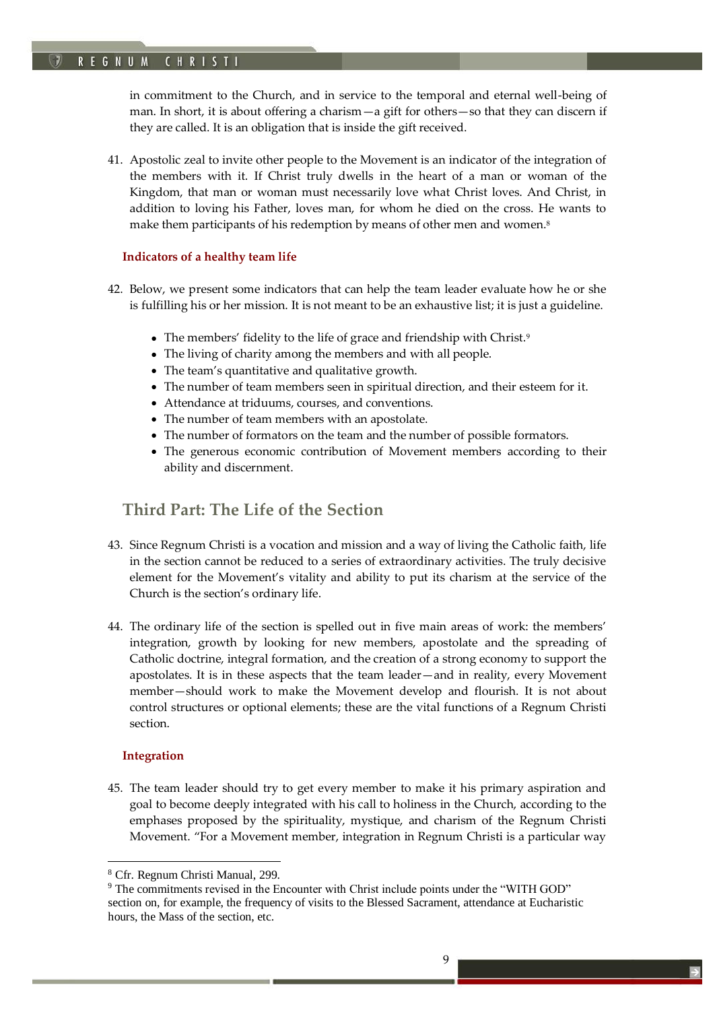# REGNUM CHRISTI

in commitment to the Church, and in service to the temporal and eternal well-being of man. In short, it is about offering a charism—a gift for others—so that they can discern if they are called. It is an obligation that is inside the gift received.

*TKC!*

41. Apostolic zeal to invite other people to the Movement is an indicator of the integration of the members with it. If Christ truly dwells in the heart of a man or woman of the Kingdom, that man or woman must necessarily love what Christ loves. And Christ, in addition to loving his Father, loves man, for whom he died on the cross. He wants to make them participants of his redemption by means of other men and women.<sup>8</sup>

# <span id="page-8-0"></span>**Indicators of a healthy team life**

- 42. Below, we present some indicators that can help the team leader evaluate how he or she is fulfilling his or her mission. It is not meant to be an exhaustive list; it is just a guideline.
	- The members' fidelity to the life of grace and friendship with Christ.<sup>9</sup>
	- The living of charity among the members and with all people.
	- The team's quantitative and qualitative growth.
	- The number of team members seen in spiritual direction, and their esteem for it.
	- Attendance at triduums, courses, and conventions.
	- The number of team members with an apostolate.
	- The number of formators on the team and the number of possible formators.
	- The generous economic contribution of Movement members according to their ability and discernment.

# <span id="page-8-1"></span>**Third Part: The Life of the Section**

- 43. Since Regnum Christi is a vocation and mission and a way of living the Catholic faith, life in the section cannot be reduced to a series of extraordinary activities. The truly decisive element for the Movement's vitality and ability to put its charism at the service of the Church is the section's ordinary life.
- 44. The ordinary life of the section is spelled out in five main areas of work: the members' integration, growth by looking for new members, apostolate and the spreading of Catholic doctrine, integral formation, and the creation of a strong economy to support the apostolates. It is in these aspects that the team leader—and in reality, every Movement member—should work to make the Movement develop and flourish. It is not about control structures or optional elements; these are the vital functions of a Regnum Christi section.

# <span id="page-8-2"></span>**Integration**

<u>.</u>

45. The team leader should try to get every member to make it his primary aspiration and goal to become deeply integrated with his call to holiness in the Church, according to the emphases proposed by the spirituality, mystique, and charism of the Regnum Christi Movement. "For a Movement member, integration in Regnum Christi is a particular way

<sup>8</sup> Cfr. Regnum Christi Manual, 299.

<sup>9</sup> The commitments revised in the Encounter with Christ include points under the "WITH GOD" section on, for example, the frequency of visits to the Blessed Sacrament, attendance at Eucharistic hours, the Mass of the section, etc.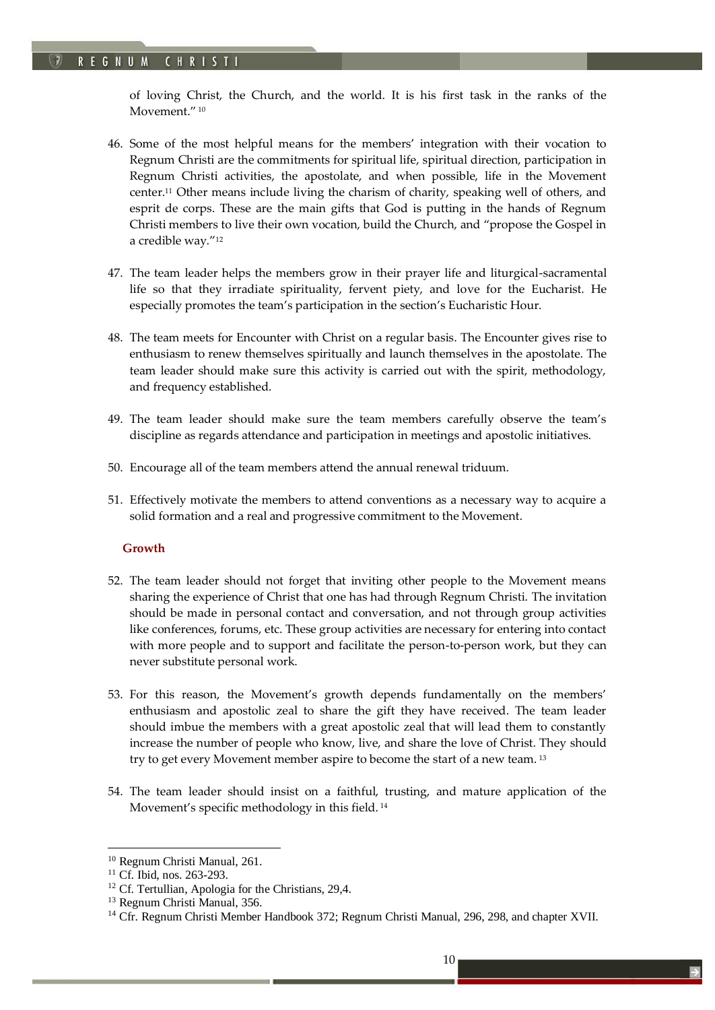of loving Christ, the Church, and the world. It is his first task in the ranks of the Movement."<sup>10</sup>

*TKC!*

- 46. Some of the most helpful means for the members' integration with their vocation to Regnum Christi are the commitments for spiritual life, spiritual direction, participation in Regnum Christi activities, the apostolate, and when possible, life in the Movement center.<sup>11</sup> Other means include living the charism of charity, speaking well of others, and esprit de corps. These are the main gifts that God is putting in the hands of Regnum Christi members to live their own vocation, build the Church, and "propose the Gospel in a credible way."<sup>12</sup>
- 47. The team leader helps the members grow in their prayer life and liturgical-sacramental life so that they irradiate spirituality, fervent piety, and love for the Eucharist. He especially promotes the team's participation in the section's Eucharistic Hour.
- 48. The team meets for Encounter with Christ on a regular basis. The Encounter gives rise to enthusiasm to renew themselves spiritually and launch themselves in the apostolate. The team leader should make sure this activity is carried out with the spirit, methodology, and frequency established.
- 49. The team leader should make sure the team members carefully observe the team's discipline as regards attendance and participation in meetings and apostolic initiatives.
- 50. Encourage all of the team members attend the annual renewal triduum.
- 51. Effectively motivate the members to attend conventions as a necessary way to acquire a solid formation and a real and progressive commitment to the Movement.

### <span id="page-9-0"></span>**Growth**

- 52. The team leader should not forget that inviting other people to the Movement means sharing the experience of Christ that one has had through Regnum Christi. The invitation should be made in personal contact and conversation, and not through group activities like conferences, forums, etc. These group activities are necessary for entering into contact with more people and to support and facilitate the person-to-person work, but they can never substitute personal work.
- 53. For this reason, the Movement's growth depends fundamentally on the members' enthusiasm and apostolic zeal to share the gift they have received. The team leader should imbue the members with a great apostolic zeal that will lead them to constantly increase the number of people who know, live, and share the love of Christ. They should try to get every Movement member aspire to become the start of a new team. <sup>13</sup>
- 54. The team leader should insist on a faithful, trusting, and mature application of the Movement's specific methodology in this field. <sup>14</sup>

1

<sup>10</sup> Regnum Christi Manual, 261.

<sup>&</sup>lt;sup>11</sup> Cf. Ibid, nos. 263-293.

<sup>&</sup>lt;sup>12</sup> Cf. Tertullian, Apologia for the Christians, 29,4.

<sup>&</sup>lt;sup>13</sup> Regnum Christi Manual, 356.

<sup>&</sup>lt;sup>14</sup> Cfr. Regnum Christi Member Handbook 372; Regnum Christi Manual, 296, 298, and chapter XVII.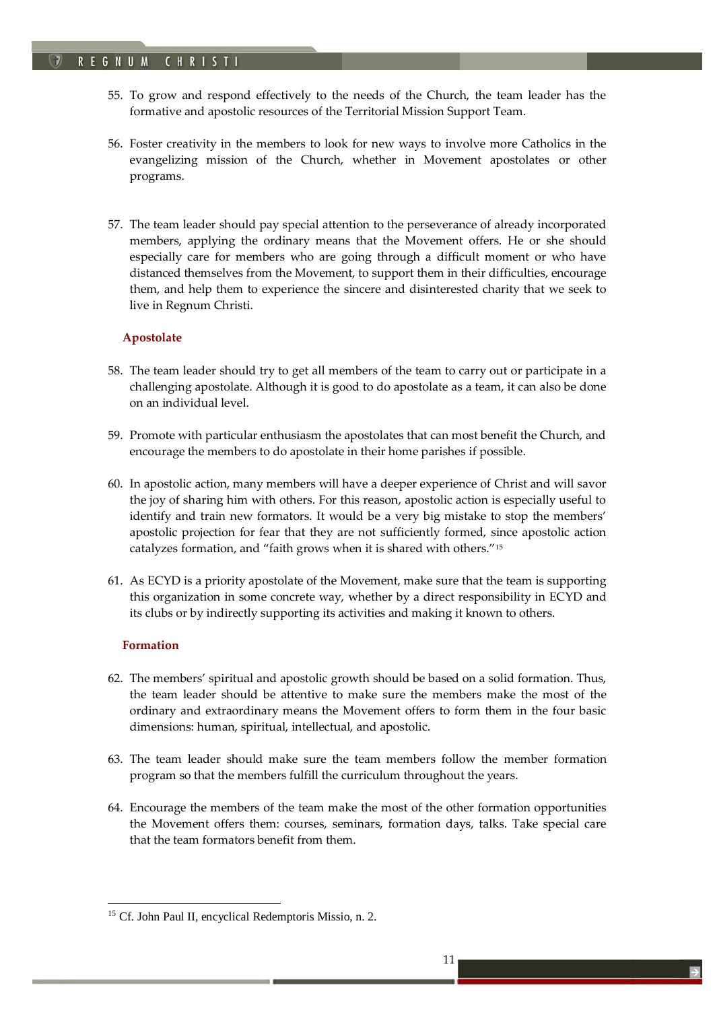55. To grow and respond effectively to the needs of the Church, the team leader has the formative and apostolic resources of the Territorial Mission Support Team.

*TKC!*

- 56. Foster creativity in the members to look for new ways to involve more Catholics in the evangelizing mission of the Church, whether in Movement apostolates or other programs.
- 57. The team leader should pay special attention to the perseverance of already incorporated members, applying the ordinary means that the Movement offers. He or she should especially care for members who are going through a difficult moment or who have distanced themselves from the Movement, to support them in their difficulties, encourage them, and help them to experience the sincere and disinterested charity that we seek to live in Regnum Christi.

# <span id="page-10-0"></span>**Apostolate**

- 58. The team leader should try to get all members of the team to carry out or participate in a challenging apostolate. Although it is good to do apostolate as a team, it can also be done on an individual level.
- 59. Promote with particular enthusiasm the apostolates that can most benefit the Church, and encourage the members to do apostolate in their home parishes if possible.
- 60. In apostolic action, many members will have a deeper experience of Christ and will savor the joy of sharing him with others. For this reason, apostolic action is especially useful to identify and train new formators. It would be a very big mistake to stop the members' apostolic projection for fear that they are not sufficiently formed, since apostolic action catalyzes formation, and "faith grows when it is shared with others."<sup>15</sup>
- 61. As ECYD is a priority apostolate of the Movement, make sure that the team is supporting this organization in some concrete way, whether by a direct responsibility in ECYD and its clubs or by indirectly supporting its activities and making it known to others.

# <span id="page-10-1"></span>**Formation**

- 62. The members' spiritual and apostolic growth should be based on a solid formation. Thus, the team leader should be attentive to make sure the members make the most of the ordinary and extraordinary means the Movement offers to form them in the four basic dimensions: human, spiritual, intellectual, and apostolic.
- 63. The team leader should make sure the team members follow the member formation program so that the members fulfill the curriculum throughout the years.
- 64. Encourage the members of the team make the most of the other formation opportunities the Movement offers them: courses, seminars, formation days, talks. Take special care that the team formators benefit from them.

<sup>&</sup>lt;sup>15</sup> Cf. John Paul II, encyclical Redemptoris Missio, n. 2.